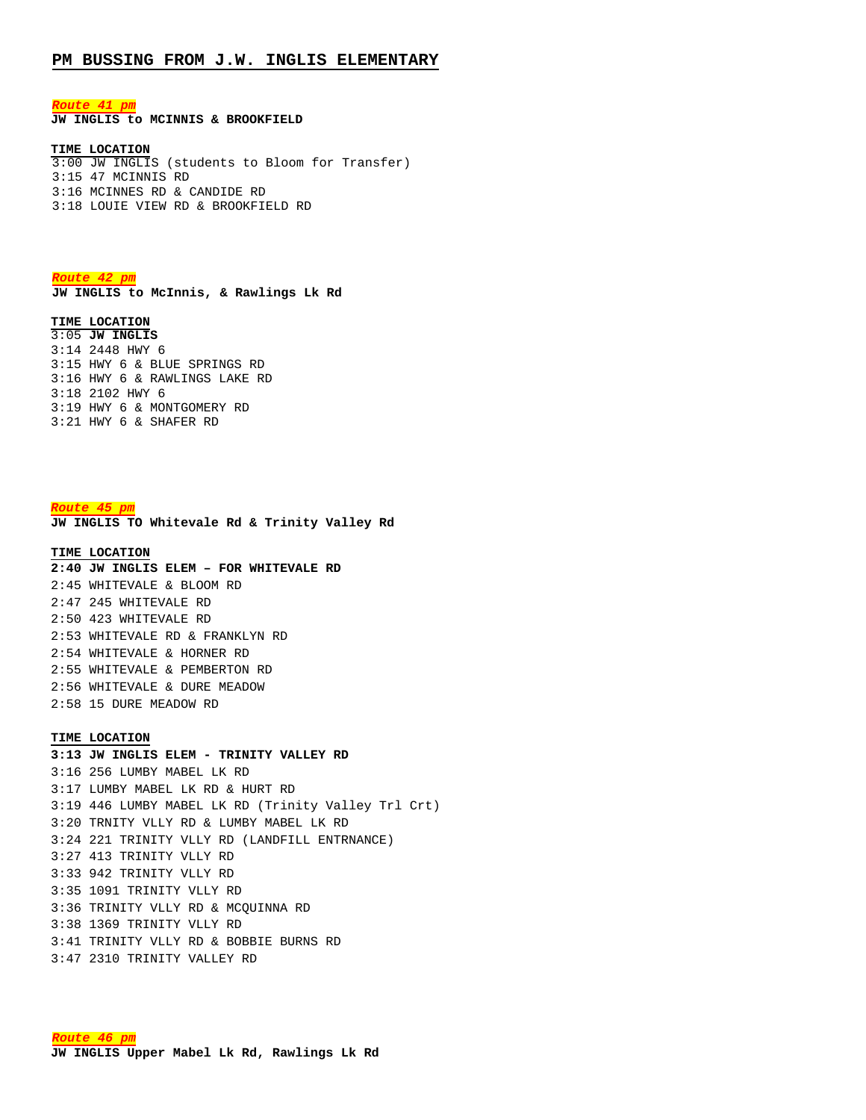### **PM BUSSING FROM J.W. INGLIS ELEMENTARY**

*Route 41 pm*

**JW INGLIS to MCINNIS & BROOKFIELD**

### **TIME LOCATION**

3:00 JW INGLIS (students to Bloom for Transfer) 3:15 47 MCINNIS RD 3:16 MCINNES RD & CANDIDE RD 3:18 LOUIE VIEW RD & BROOKFIELD RD

*Route 42 pm* **JW INGLIS to McInnis, & Rawlings Lk Rd**

#### **TIME LOCATION**

3:05 **JW INGLIS**  3:14 2448 HWY 6 3:15 HWY 6 & BLUE SPRINGS RD 3:16 HWY 6 & RAWLINGS LAKE RD 3:18 2102 HWY 6 3:19 HWY 6 & MONTGOMERY RD 3:21 HWY 6 & SHAFER RD

#### *Route 45 pm*

**JW INGLIS TO Whitevale Rd & Trinity Valley Rd**

#### **TIME LOCATION**

**2:40 JW INGLIS ELEM – FOR WHITEVALE RD** 2:45 WHITEVALE & BLOOM RD 2:47 245 WHITEVALE RD 2:50 423 WHITEVALE RD 2:53 WHITEVALE RD & FRANKLYN RD 2:54 WHITEVALE & HORNER RD 2:55 WHITEVALE & PEMBERTON RD 2:56 WHITEVALE & DURE MEADOW 2:58 15 DURE MEADOW RD

#### **TIME LOCATION**

**3:13 JW INGLIS ELEM - TRINITY VALLEY RD** 3:16 256 LUMBY MABEL LK RD 3:17 LUMBY MABEL LK RD & HURT RD 3:19 446 LUMBY MABEL LK RD (Trinity Valley Trl Crt) 3:20 TRNITY VLLY RD & LUMBY MABEL LK RD 3:24 221 TRINITY VLLY RD (LANDFILL ENTRNANCE) 3:27 413 TRINITY VLLY RD 3:33 942 TRINITY VLLY RD 3:35 1091 TRINITY VLLY RD 3:36 TRINITY VLLY RD & MCQUINNA RD 3:38 1369 TRINITY VLLY RD 3:41 TRINITY VLLY RD & BOBBIE BURNS RD 3:47 2310 TRINITY VALLEY RD